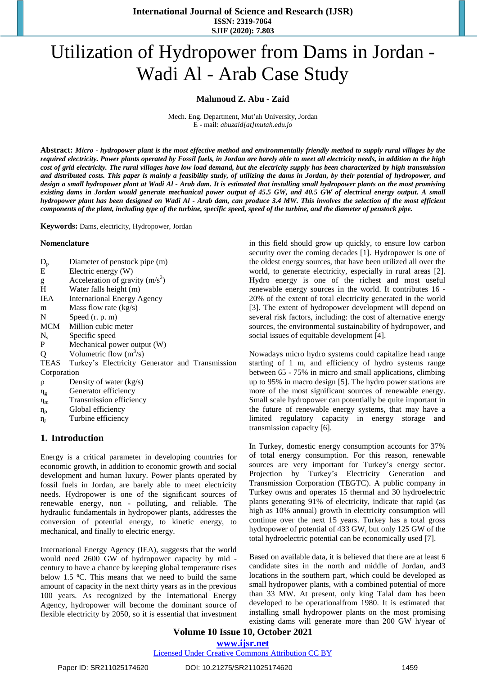**International Journal of Science and Research (IJSR) ISSN: 2319-7064 SJIF (2020): 7.803**

# Utilization of Hydropower from Dams in Jordan - Wadi Al - Arab Case Study

#### **Mahmoud Z. Abu - Zaid**

Mech. Eng. Department, Mut'ah University, Jordan E - mail: *abuzaid[at]mutah.edu.jo*

Abstract: Micro - hydropower plant is the most effective method and environmentally friendly method to supply rural villages by the required electricity. Power plants operated by Fossil fuels, in Jordan are barely able to meet all electricity needs, in addition to the high cost of grid electricity. The rural villages have low load demand, but the electricity supply has been characterized by high transmission and distributed costs. This paper is mainly a feasibility study, of utilizing the dams in Jordan, by their potential of hydropower, and design a small hydropower plant at Wadi Al - Arab dam. It is estimated that installing small hydropower plants on the most promising existing dams in Jordan would generate mechanical power output of 45.5 GW, and 40.5 GW of electrical energy output. A small hydropower plant has been designed on Wadi Al - Arab dam, can produce 3.4 MW. This involves the selection of the most efficient components of the plant, including type of the turbine, specific speed, speed of the turbine, and the diameter of penstock pipe.

**Keywords:** Dams, electricity, Hydropower, Jordan

#### **Nomenclature**

| $D_p$          | Diameter of penstock pipe (m)                   |
|----------------|-------------------------------------------------|
| Ε              | Electric energy (W)                             |
| g              | Acceleration of gravity $(m/s^2)$               |
| H              | Water falls height (m)                          |
| IEA            | <b>International Energy Agency</b>              |
| m              | Mass flow rate $(kg/s)$                         |
| N              | Speed $(r, p, m)$                               |
|                | MCM Million cubic meter                         |
| $N_{s}$        | Specific speed                                  |
| P              | Mechanical power output (W)                     |
| Q              | Volumetric flow $(m^3/s)$                       |
| <b>TEAS</b>    | Turkey's Electricity Generator and Transmission |
| Corporation    |                                                 |
| $\rho$         | Density of water (kg/s)                         |
| $\eta_{\rm g}$ | Generator efficiency                            |
| $\eta_{\rm m}$ | Transmission efficiency                         |

- $\eta_{\rho}$  Global efficiency
- $n_t$  Turbine efficiency

# **1. Introduction**

Energy is a critical parameter in developing countries for economic growth, in addition to economic growth and social development and human luxury. Power plants operated by fossil fuels in Jordan, are barely able to meet electricity needs. Hydropower is one of the significant sources of renewable energy, non - polluting, and reliable. The hydraulic fundamentals in hydropower plants, addresses the conversion of potential energy, to kinetic energy, to mechanical, and finally to electric energy.

International Energy Agency (IEA), suggests that the world would need 2600 GW of hydropower capacity by mid century to have a chance by keeping global temperature rises below 1.5 °C. This means that we need to build the same amount of capacity in the next thirty years as in the previous 100 years. As recognized by the International Energy Agency, hydropower will become the dominant source of flexible electricity by 2050, so it is essential that investment

in this field should grow up quickly, to ensure low carbon security over the coming decades [1]. Hydropower is one of the oldest energy sources, that have been utilized all over the world, to generate electricity, especially in rural areas [2]. Hydro energy is one of the richest and most useful renewable energy sources in the world. It contributes 16 - 20% of the extent of total electricity generated in the world [3]. The extent of hydropower development will depend on several risk factors, including: the cost of alternative energy sources, the environmental sustainability of hydropower, and social issues of equitable development [4].

Nowadays micro hydro systems could capitalize head range starting of 1 m, and efficiency of hydro systems range between 65 - 75% in micro and small applications, climbing up to 95% in macro design [5]. The hydro power stations are more of the most significant sources of renewable energy. Small scale hydropower can potentially be quite important in the future of renewable energy systems, that may have a limited regulatory capacity in energy storage and transmission capacity [6].

In Turkey, domestic energy consumption accounts for 37% of total energy consumption. For this reason, renewable sources are very important for Turkey's energy sector. Projection by Turkey's Electricity Generation and Transmission Corporation (TEGTC). A public company in Turkey owns and operates 15 thermal and 30 hydroelectric plants generating 91% of electricity, indicate that rapid (as high as 10% annual) growth in electricity consumption will continue over the next 15 years. Turkey has a total gross hydropower of potential of 433 GW, but only 125 GW of the total hydroelectric potential can be economically used [7].

Based on available data, it is believed that there are at least 6 candidate sites in the north and middle of Jordan, and3 locations in the southern part, which could be developed as small hydropower plants, with a combined potential of more than 33 MW. At present, only king Talal dam has been developed to be operationalfrom 1980. It is estimated that installing small hydropower plants on the most promising existing dams will generate more than 200 GW h/year of

# **Volume 10 Issue 10, October 2021 www.ijsr.net**

Licensed Under Creative Commons Attribution CC BY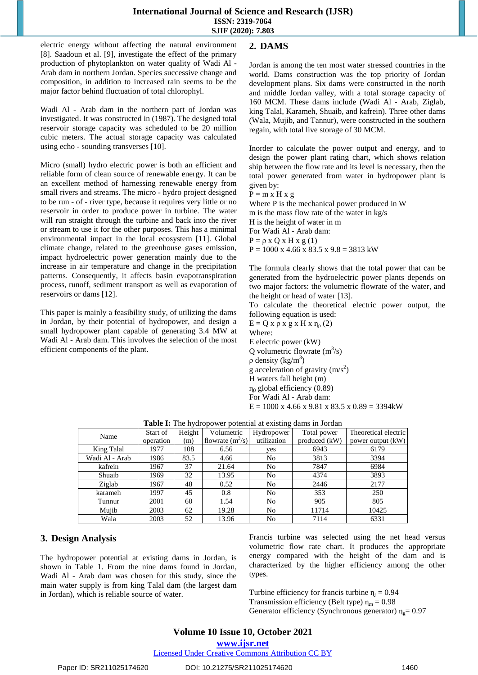#### **International Journal of Science and Research (IJSR) ISSN: 2319-7064 SJIF (2020): 7.803**

electric energy without affecting the natural environment [8]. Saadoun et al. [9], investigate the effect of the primary production of phytoplankton on water quality of Wadi Al - Arab dam in northern Jordan. Species successive change and composition, in addition to increased rain seems to be the major factor behind fluctuation of total chlorophyl.

Wadi Al - Arab dam in the northern part of Jordan was investigated. It was constructed in (1987). The designed total reservoir storage capacity was scheduled to be 20 million cubic meters. The actual storage capacity was calculated using echo - sounding transverses [10].

Micro (small) hydro electric power is both an efficient and reliable form of clean source of renewable energy. It can be an excellent method of harnessing renewable energy from small rivers and streams. The micro - hydro project designed to be run - of - river type, because it requires very little or no reservoir in order to produce power in turbine. The water will run straight through the turbine and back into the river or stream to use it for the other purposes. This has a minimal environmental impact in the local ecosystem [11]. Global climate change, related to the greenhouse gases emission, impact hydroelectric power generation mainly due to the increase in air temperature and change in the precipitation patterns. Consequently, it affects basin evapotranspiration process, runoff, sediment transport as well as evaporation of reservoirs or dams [12].

This paper is mainly a feasibility study, of utilizing the dams in Jordan, by their potential of hydropower, and design a small hydropower plant capable of generating 3.4 MW at Wadi Al - Arab dam. This involves the selection of the most efficient components of the plant.

# **2. DAMS**

Jordan is among the ten most water stressed countries in the world. Dams construction was the top priority of Jordan development plans. Six dams were constructed in the north and middle Jordan valley, with a total storage capacity of 160 MCM. These dams include (Wadi Al - Arab, Ziglab, king Talal, Karameh, Shuaib, and kafrein). Three other dams (Wala, Mujib, and Tannur), were constructed in the southern regain, with total live storage of 30 MCM.

Inorder to calculate the power output and energy, and to design the power plant rating chart, which shows relation ship between the flow rate and its level is necessary, then the total power generated from water in hydropower plant is given by:

 $P = m x H x g$ 

Where P is the mechanical power produced in W m is the mass flow rate of the water in kg/s H is the height of water in m For Wadi Al - Arab dam:  $P = \rho x Q x H x g (1)$  $P = 1000$  x 4.66 x 83.5 x 9.8 = 3813 kW

The formula clearly shows that the total power that can be generated from the hydroelectric power plants depends on two major factors: the volumetric flowrate of the water, and the height or head of water [13].

To calculate the theoretical electric power output, the following equation is used:

 $E = Q x \rho x g x H x \eta_0 (2)$ Where: E electric power (kW) Q volumetric flowrate  $(m^3/s)$  $ρ$  density (kg/m<sup>3</sup>) g acceleration of gravity  $(m/s<sup>2</sup>)$ H waters fall height (m)  $\eta_0$  global efficiency (0.89) For Wadi Al - Arab dam:  $E = 1000$  x 4.66 x 9.81 x 83.5 x 0.89 = 3394 kW

| Name           | Start of  | Height | Volumetric         | Hydropower  | Total power   | Theoretical electric |
|----------------|-----------|--------|--------------------|-------------|---------------|----------------------|
|                | operation | (m)    | flowrate $(m^3/s)$ | utilization | produced (kW) | power output (kW)    |
| King Talal     | 1977      | 108    | 6.56               | yes         | 6943          | 6179                 |
| Wadi Al - Arab | 1986      | 83.5   | 4.66               | No          | 3813          | 3394                 |
| kafrein        | 1967      | 37     | 21.64              | No          | 7847          | 6984                 |
| Shuaib         | 1969      | 32     | 13.95              | No          | 4374          | 3893                 |
| Ziglab         | 1967      | 48     | 0.52               | No          | 2446          | 2177                 |
| karameh        | 1997      | 45     | 0.8                | No          | 353           | 250                  |
| Tunnur         | 2001      | 60     | 1.54               | No          | 905           | 805                  |
| Mujib          | 2003      | 62     | 19.28              | No          | 11714         | 10425                |
| Wala           | 2003      | 52     | 13.96              | No          | 7114          | 6331                 |

**Table I:** The hydropower potential at existing dams in Jordan

# **3. Design Analysis**

The hydropower potential at existing dams in Jordan, is shown in Table 1. From the nine dams found in Jordan, Wadi Al - Arab dam was chosen for this study, since the main water supply is from king Talal dam (the largest dam in Jordan), which is reliable source of water.

Francis turbine was selected using the net head versus volumetric flow rate chart. It produces the appropriate energy compared with the height of the dam and is characterized by the higher efficiency among the other types.

Turbine efficiency for francis turbine  $η<sub>t</sub> = 0.94$ Transmission efficiency (Belt type)  $\eta_m = 0.98$ Generator efficiency (Synchronous generator)  $\eta_{\varrho} = 0.97$ 

**www.ijsr.net**

Licensed Under Creative Commons Attribution CC BY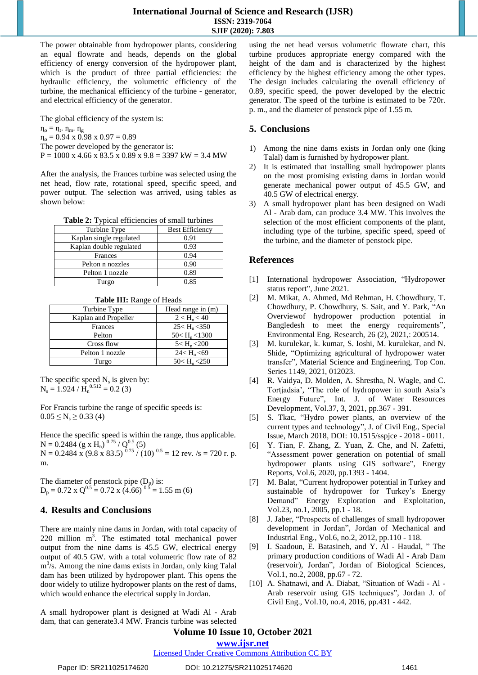The power obtainable from hydropower plants, considering an equal flowrate and heads, depends on the global efficiency of energy conversion of the hydropower plant, which is the product of three partial efficiencies: the hydraulic efficiency, the volumetric efficiency of the turbine, the mechanical efficiency of the turbine - generator, and electrical efficiency of the generator.

The global efficiency of the system is:  $\eta_{\rm o} = \eta_{\rm r}$ .  $\eta_{\rm m}$ .  $\eta_{\rm g}$  $n_0 = 0.94 \times 0.98 \times 0.97 = 0.89$ The power developed by the generator is:  $P = 1000 \text{ x } 4.66 \text{ x } 83.5 \text{ x } 0.89 \text{ x } 9.8 = 3397 \text{ kW} = 3.4 \text{ MW}$ 

After the analysis, the Frances turbine was selected using the net head, flow rate, rotational speed, specific speed, and power output. The selection was arrived, using tables as shown below:

| <b>Table 2:</b> Typical efficiencies of small turbines |  |  |  |
|--------------------------------------------------------|--|--|--|
|--------------------------------------------------------|--|--|--|

| Turbine Type            | <b>Best Efficiency</b> |
|-------------------------|------------------------|
| Kaplan single regulated | 0.91                   |
| Kaplan double regulated | 0.93                   |
| Frances                 | 0.94                   |
| Pelton n nozzles        | 0.90                   |
| Pelton 1 nozzle         | 0.89                   |
| Turgo                   | 0.85                   |

**Table III:** Range of Heads

| Turbine Type         | Head range in $(m)$      |
|----------------------|--------------------------|
| Kaplan and Propeller | $2 < H_n < 40$           |
| Frances              | $25 < H_n < 350$         |
| Pelton               | $50 < H_n < 1300$        |
| Cross flow           | $5 < H_n < 200$          |
| Pelton 1 nozzle      | 24 < H <sub>n</sub> < 69 |
| Turgo                | $50 < H_n < 250$         |

The specific speed  $N_s$  is given by:  $N_s = 1.924 / H_n^{0.512} = 0.2$  (3)

For Francis turbine the range of specific speeds is:  $0.05 \le N_s \ge 0.33$  (4)

Hence the specific speed is within the range, thus applicable.  $N = 0.2484$  (g x H<sub>n</sub>)<sup>0.75</sup> / Q<sup>0.5</sup> (5)  $N = 0.2484$  x (9.8 x 83.5)  $^{0.75}$  / (10)  $^{0.5}$  = 12 rev. /s = 720 r. p. m.

The diameter of penstock pipe  $(D_p)$  is:  $D_p = 0.72 \times Q^{0.5} = 0.72 \times (4.66)^{0.5} = 1.55 \text{ m}$  (6)

# **4. Results and Conclusions**

There are mainly nine dams in Jordan, with total capacity of  $220$  million  $m<sup>3</sup>$ . The estimated total mechanical power output from the nine dams is 45.5 GW, electrical energy output of 40.5 GW. with a total volumetric flow rate of 82  $m<sup>3</sup>/s$ . Among the nine dams exists in Jordan, only king Talal dam has been utilized by hydropower plant. This opens the door widely to utilize hydropower plants on the rest of dams, which would enhance the electrical supply in Jordan.

A small hydropower plant is designed at Wadi Al - Arab dam, that can generate3.4 MW. Francis turbine was selected using the net head versus volumetric flowrate chart, this turbine produces appropriate energy compared with the height of the dam and is characterized by the highest efficiency by the highest efficiency among the other types. The design includes calculating the overall efficiency of 0.89, specific speed, the power developed by the electric generator. The speed of the turbine is estimated to be 720r. p. m., and the diameter of penstock pipe of 1.55 m.

#### **5. Conclusions**

- 1) Among the nine dams exists in Jordan only one (king Talal) dam is furnished by hydropower plant.
- 2) It is estimated that installing small hydropower plants on the most promising existing dams in Jordan would generate mechanical power output of 45.5 GW, and 40.5 GW of electrical energy.
- 3) A small hydropower plant has been designed on Wadi Al - Arab dam, can produce 3.4 MW. This involves the selection of the most efficient components of the plant, including type of the turbine, specific speed, speed of the turbine, and the diameter of penstock pipe.

#### **References**

- [1] International hydropower Association, "Hydropower status report", June 2021.
- [2] M. Mikat, A. Ahmed, Md Rehman, H. Chowdhury, T. Chowdhury, P. Chowdhury, S. Sait, and Y. Park, "An Overviewof hydropower production potential in Bangledesh to meet the energy requirements", Environmental Eng. Research, 26 (2), 2021,: 200514.
- [3] M. kurulekar, k. kumar, S. Ioshi, M. kurulekar, and N. Shide, "Optimizing agricultural of hydropower water transfer", Material Science and Engineering, Top Con. Series 1149, 2021, 012023.
- [4] R. Vaidya, D. Molden, A. Shrestha, N. Wagle, and C. Tortjadsia', "The role of hydropower in south Asia's Energy Future", Int. J. of Water Resources Development, Vol.37, 3, 2021, pp.367 - 391.
- [5] S. Tkac, "Hydro power plants, an overview of the current types and technology", J. of Civil Eng., Special Issue, March 2018, DOI: 10.1515/sspjce - 2018 - 0011.
- [6] Y. Tian, F. Zhang, Z. Yuan, Z. Che, and N. Zafetti, "Assessment power generation on potential of small hydropower plants using GIS software", Energy Reports, Vol.6, 2020, pp.1393 - 1404.
- [7] M. Balat, "Current hydropower potential in Turkey and sustainable of hydropower for Turkey's Energy Demand" Energy Exploration and Exploitation, Vol.23, no.1, 2005, pp.1 - 18.
- [8] J. Jaber, "Prospects of challenges of small hydropower development in Jordan", Jordan of Mechanical and Industrial Eng., Vol.6, no.2, 2012, pp.110 - 118.
- [9] I. Saadoun, E. Batasineh, and Y. Al Haudal, " The primary production conditions of Wadi Al - Arab Dam (reservoir), Jordan", Jordan of Biological Sciences, Vol.1, no.2, 2008, pp.67 - 72.
- [10] A. Shatnawi, and A. Diabat, "Situation of Wadi Al Arab reservoir using GIS techniques", Jordan J. of Civil Eng., Vol.10, no.4, 2016, pp.431 - 442.

# **Volume 10 Issue 10, October 2021**

#### **www.ijsr.net**

#### Licensed Under Creative Commons Attribution CC BY